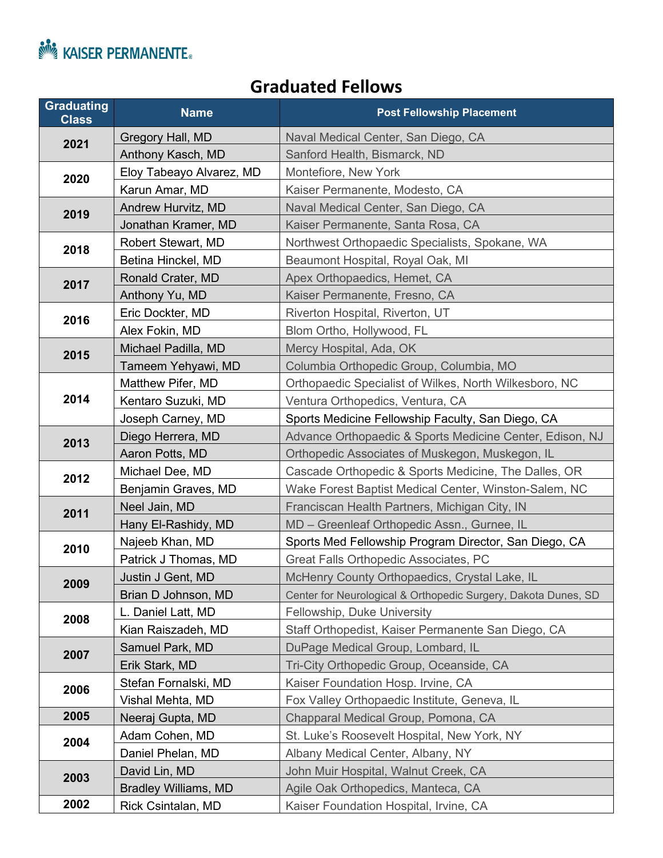

## **Graduated Fellows**

| <b>Graduating</b><br><b>Class</b> | <b>Name</b>                 | <b>Post Fellowship Placement</b>                               |
|-----------------------------------|-----------------------------|----------------------------------------------------------------|
| 2021                              | Gregory Hall, MD            | Naval Medical Center, San Diego, CA                            |
|                                   | Anthony Kasch, MD           | Sanford Health, Bismarck, ND                                   |
| 2020                              | Eloy Tabeayo Alvarez, MD    | Montefiore, New York                                           |
|                                   | Karun Amar, MD              | Kaiser Permanente, Modesto, CA                                 |
| 2019                              | Andrew Hurvitz, MD          | Naval Medical Center, San Diego, CA                            |
|                                   | Jonathan Kramer, MD         | Kaiser Permanente, Santa Rosa, CA                              |
| 2018                              | Robert Stewart, MD          | Northwest Orthopaedic Specialists, Spokane, WA                 |
|                                   | Betina Hinckel, MD          | Beaumont Hospital, Royal Oak, MI                               |
| 2017                              | Ronald Crater, MD           | Apex Orthopaedics, Hemet, CA                                   |
|                                   | Anthony Yu, MD              | Kaiser Permanente, Fresno, CA                                  |
| 2016                              | Eric Dockter, MD            | Riverton Hospital, Riverton, UT                                |
|                                   | Alex Fokin, MD              | Blom Ortho, Hollywood, FL                                      |
| 2015                              | Michael Padilla, MD         | Mercy Hospital, Ada, OK                                        |
|                                   | Tameem Yehyawi, MD          | Columbia Orthopedic Group, Columbia, MO                        |
|                                   | Matthew Pifer, MD           | Orthopaedic Specialist of Wilkes, North Wilkesboro, NC         |
| 2014                              | Kentaro Suzuki, MD          | Ventura Orthopedics, Ventura, CA                               |
|                                   | Joseph Carney, MD           | Sports Medicine Fellowship Faculty, San Diego, CA              |
| 2013                              | Diego Herrera, MD           | Advance Orthopaedic & Sports Medicine Center, Edison, NJ       |
|                                   | Aaron Potts, MD             | Orthopedic Associates of Muskegon, Muskegon, IL                |
| 2012                              | Michael Dee, MD             | Cascade Orthopedic & Sports Medicine, The Dalles, OR           |
|                                   | Benjamin Graves, MD         | Wake Forest Baptist Medical Center, Winston-Salem, NC          |
| 2011                              | Neel Jain, MD               | Franciscan Health Partners, Michigan City, IN                  |
|                                   | Hany El-Rashidy, MD         | MD - Greenleaf Orthopedic Assn., Gurnee, IL                    |
| 2010                              | Najeeb Khan, MD             | Sports Med Fellowship Program Director, San Diego, CA          |
|                                   | Patrick J Thomas, MD        | Great Falls Orthopedic Associates, PC                          |
| 2009                              | Justin J Gent, MD           | McHenry County Orthopaedics, Crystal Lake, IL                  |
|                                   | Brian D Johnson, MD         | Center for Neurological & Orthopedic Surgery, Dakota Dunes, SD |
| 2008                              | L. Daniel Latt, MD          | Fellowship, Duke University                                    |
|                                   | Kian Raiszadeh, MD          | Staff Orthopedist, Kaiser Permanente San Diego, CA             |
| 2007                              | Samuel Park, MD             | DuPage Medical Group, Lombard, IL                              |
|                                   | Erik Stark, MD              | Tri-City Orthopedic Group, Oceanside, CA                       |
| 2006                              | Stefan Fornalski, MD        | Kaiser Foundation Hosp. Irvine, CA                             |
|                                   | Vishal Mehta, MD            | Fox Valley Orthopaedic Institute, Geneva, IL                   |
| 2005                              | Neeraj Gupta, MD            | Chapparal Medical Group, Pomona, CA                            |
| 2004                              | Adam Cohen, MD              | St. Luke's Roosevelt Hospital, New York, NY                    |
|                                   | Daniel Phelan, MD           | Albany Medical Center, Albany, NY                              |
| 2003                              | David Lin, MD               | John Muir Hospital, Walnut Creek, CA                           |
|                                   | <b>Bradley Williams, MD</b> | Agile Oak Orthopedics, Manteca, CA                             |
| 2002                              | Rick Csintalan, MD          | Kaiser Foundation Hospital, Irvine, CA                         |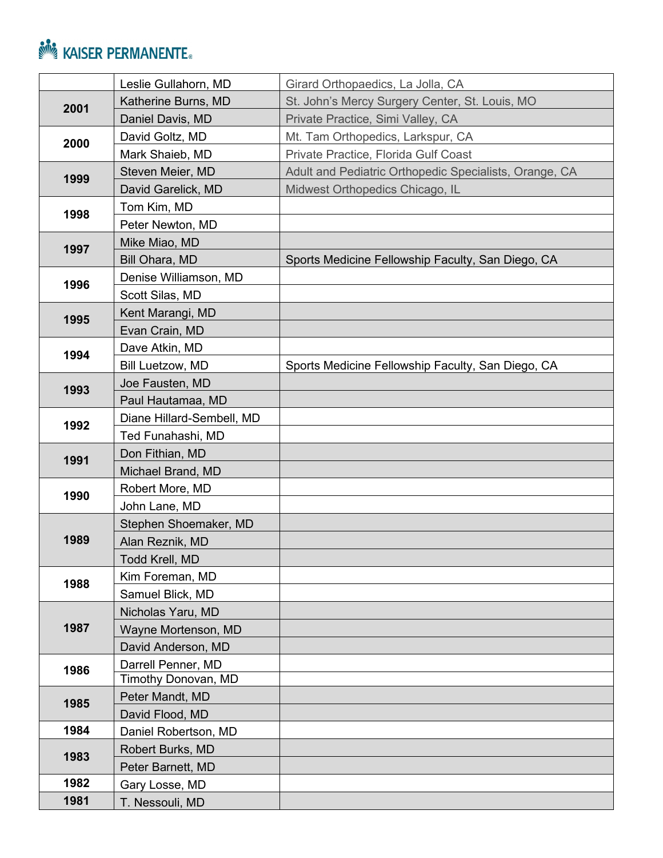## **NASER PERMANENTE.**

|      | Leslie Gullahorn, MD      | Girard Orthopaedics, La Jolla, CA                      |
|------|---------------------------|--------------------------------------------------------|
| 2001 | Katherine Burns, MD       | St. John's Mercy Surgery Center, St. Louis, MO         |
|      | Daniel Davis, MD          | Private Practice, Simi Valley, CA                      |
| 2000 | David Goltz, MD           | Mt. Tam Orthopedics, Larkspur, CA                      |
|      | Mark Shaieb, MD           | Private Practice, Florida Gulf Coast                   |
| 1999 | Steven Meier, MD          | Adult and Pediatric Orthopedic Specialists, Orange, CA |
|      | David Garelick, MD        | Midwest Orthopedics Chicago, IL                        |
| 1998 | Tom Kim, MD               |                                                        |
|      | Peter Newton, MD          |                                                        |
| 1997 | Mike Miao, MD             |                                                        |
|      | Bill Ohara, MD            | Sports Medicine Fellowship Faculty, San Diego, CA      |
| 1996 | Denise Williamson, MD     |                                                        |
|      | Scott Silas, MD           |                                                        |
|      | Kent Marangi, MD          |                                                        |
| 1995 | Evan Crain, MD            |                                                        |
| 1994 | Dave Atkin, MD            |                                                        |
|      | Bill Luetzow, MD          | Sports Medicine Fellowship Faculty, San Diego, CA      |
|      | Joe Fausten, MD           |                                                        |
| 1993 | Paul Hautamaa, MD         |                                                        |
|      | Diane Hillard-Sembell, MD |                                                        |
| 1992 | Ted Funahashi, MD         |                                                        |
| 1991 | Don Fithian, MD           |                                                        |
|      | Michael Brand, MD         |                                                        |
| 1990 | Robert More, MD           |                                                        |
|      | John Lane, MD             |                                                        |
|      | Stephen Shoemaker, MD     |                                                        |
| 1989 | Alan Reznik, MD           |                                                        |
|      | Todd Krell, MD            |                                                        |
|      | Kim Foreman, MD           |                                                        |
| 1988 | Samuel Blick, MD          |                                                        |
|      | Nicholas Yaru, MD         |                                                        |
| 1987 | Wayne Mortenson, MD       |                                                        |
|      | David Anderson, MD        |                                                        |
| 1986 | Darrell Penner, MD        |                                                        |
|      | Timothy Donovan, MD       |                                                        |
| 1985 | Peter Mandt, MD           |                                                        |
|      | David Flood, MD           |                                                        |
| 1984 | Daniel Robertson, MD      |                                                        |
| 1983 | Robert Burks, MD          |                                                        |
|      | Peter Barnett, MD         |                                                        |
| 1982 | Gary Losse, MD            |                                                        |
| 1981 | T. Nessouli, MD           |                                                        |